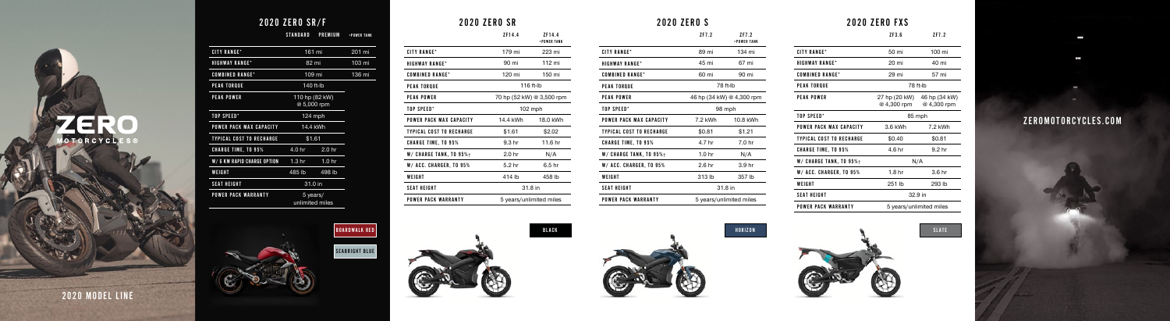#### 2020 ZERO S

| ZF7.2                                  | ZF7.2<br>+POWER TANK |  |  |  |
|----------------------------------------|----------------------|--|--|--|
| 89 mi                                  | 134 mi               |  |  |  |
| 45 mi                                  | 67 mi                |  |  |  |
| 60 mi                                  | 90 mi                |  |  |  |
| 78 ft-lb                               |                      |  |  |  |
| 3 hp (34 kW) @ 4,300 rpm               |                      |  |  |  |
| 98 mph                                 |                      |  |  |  |
| 7.2 kWh                                | 10.8 kWh             |  |  |  |
| \$0.81                                 | \$1.21               |  |  |  |
| 4.7 hr<br>7.0 <sub>hr</sub>            |                      |  |  |  |
| 1.0 <sub>hr</sub><br>N/A               |                      |  |  |  |
| 2.6 <sub>hr</sub><br>3.9 <sub>hr</sub> |                      |  |  |  |
| 313 lb                                 | 357 lb               |  |  |  |
| 31.8 in                                |                      |  |  |  |
| 5 years/unlimited miles                |                      |  |  |  |
|                                        |                      |  |  |  |



| 2020 ZERO SR               |                             |                       |  |
|----------------------------|-----------------------------|-----------------------|--|
|                            | 7F14.4                      | 7F14.4<br>+POWER TANK |  |
| <b>CITY RANGE*</b>         | 179 mi                      | 223 mi                |  |
| <b>HIGHWAY RANGF*</b>      | 112 mi<br>90 mi             |                       |  |
| <b>COMBINED RANGE*</b>     | 120 mi<br>150 mi            |                       |  |
| <b>PEAK TOROUE</b>         | 116 ft-lb                   |                       |  |
| <b>PEAK POWER</b>          | 70 hp (52 kW) @ 3,500 rpm   |                       |  |
| TOP SPFFD*                 | $102$ mph                   |                       |  |
| POWER PACK MAX CAPACITY    | 14.4 kWh<br>18.0 kWh        |                       |  |
| TYPICAL COST TO RECHARGE   | \$1.61<br>\$2.02            |                       |  |
| <b>CHARGE TIME, TO 95%</b> | 11.6 hr<br>9.3 hr           |                       |  |
| W/ CHARGE TANK, TO 95%+    | 2.0 <sub>hr</sub>           | N/A                   |  |
| W/ ACC. CHARGER, TO 95%    | 5.2 hr<br>6.5 <sub>hr</sub> |                       |  |
| WEIGHT                     | 414 lb                      | 458 lb                |  |
| <b>SFAT HFIGHT</b>         | 31.8 in                     |                       |  |
| POWER PACK WARRANTY        | 5 years/unlimited miles     |                       |  |

# **MOTORCYCLES®**

2020 MODEL LINE

#### ZEROMOTORCYCLES.COM

**STAR** 

**STATE** 

# 2020 ZERO SR/F

STANDARD PREMIUM +POWER TANK

| <b>CITY RANGE*</b>              |                   | 161 mi                        | 201 mi |
|---------------------------------|-------------------|-------------------------------|--------|
| <b>HIGHWAY RANGE*</b>           |                   | 82 mi                         | 103 mi |
| <b>COMBINED RANGE*</b>          |                   | 109 mi                        | 136 mi |
| <b>PEAK TORQUE</b>              |                   | 140 ft-lb                     |        |
| <b>PEAK POWER</b>               |                   | 110 hp (82 kW)<br>@ 5,000 rpm |        |
| TOP SPEED*                      |                   | $124$ mph                     |        |
| POWER PACK MAX CAPACITY         |                   | 14.4 kWh                      |        |
| <b>TYPICAL COST TO RECHARGE</b> | \$1.61            |                               |        |
| <b>CHARGE TIME, TO 95%</b>      | 4.0 hr            | 2.0 <sub>hr</sub>             |        |
| W/6 KW RAPID CHARGE OPTION      | 1.3 <sub>hr</sub> | 1.0 <sub>hr</sub>             |        |
| WEIGHT                          | 485 lb            | 498 lb                        |        |
| <b>SEAT HEIGHT</b>              | 31.0 in           |                               |        |
| <b>POWER PACK WARRANTY</b>      |                   | 5 years/<br>unlimited miles   |        |
|                                 |                   |                               |        |

## 2020 ZERO FXS

|                            | ZF3.6                        | ZF7.2                        |
|----------------------------|------------------------------|------------------------------|
| <b>CITY RANGF*</b>         | 50 mi                        | 100 mi                       |
| <b>HIGHWAY RANGF*</b>      | 20 mi                        | 40 mi                        |
| <b>COMBINED RANGE*</b>     | 29 mi                        | 57 mi                        |
| PEAK TOROUE                | 78 ft-lb                     |                              |
| PEAK POWER                 | 27 hp (20 kW)<br>@ 4,300 rpm | 46 hp (34 kW)<br>@ 4,300 rpm |
| TOP SPFFD*                 | 85 mph                       |                              |
| POWER PACK MAX CAPACITY    | 3.6 kWh                      | 7.2 kWh                      |
| TYPICAL COST TO RECHARGE   | \$0.40                       | \$0.81                       |
| <b>CHARGE TIME, TO 95%</b> | 4.6 hr                       | 9.2 <sub>hr</sub>            |
| W/ CHARGE TANK, TO 95%+    | N/A                          |                              |
| W/ ACC. CHARGER, TO 95%    | 1.8 <sub>hr</sub>            | 3.6 <sub>hr</sub>            |
| WEIGHT                     | 251 lb                       | 293 lb                       |
| <b>SEAT HEIGHT</b>         | 32.9 in                      |                              |
| POWFR PACK WARRANTY        | 5 years/unlimited miles      |                              |





SEABRIGHT BLUE





W/ CHARGE TANK, TO 95% $\dagger$ W/ ACC. CHARGER, TO  $95\%$ 

POWER PACK WARRANTY

**WEIGHT** SEAT HEIGHT